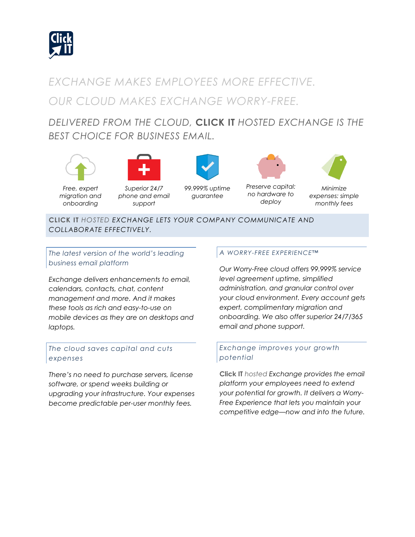

# *EXCHANGE MAKES EMPLOYEES MORE EFFECTIVE. OUR CLOUD MAKES EXCHANGE WORRY-FREE.*

# *DELIVERED FROM THE CLOUD,* **CLICK IT** *HOSTED EXCHANGE IS THE BEST CHOICE FOR BUSINESS EMAIL.*





*Free, expert migration and onboarding*

*Superior 24/7 phone and email support*



*99.999% uptime guarantee*



*Preserve capital: no hardware to deploy*



*expenses: simple monthly fees*

**CLICK IT** *HOSTED EXCHANGE LETS YOUR COMPANY COMMUNICATE AND COLLABORATE EFFECTIVELY.*

*The latest version of the world's leading business email platform*

*Exchange delivers enhancements to email, calendars, contacts, chat, content management and more. And it makes these tools as rich and easy-to-use on mobile devices as they are on desktops and laptops.*

# *The cloud saves capital and cuts expenses*

*There's no need to purchase servers, license software, or spend weeks building or upgrading your infrastructure. Your expenses become predictable per-user monthly fees.*

## *A WORRY-FREE EXPERIENCE™*

*Our Worry-Free cloud offers 99.999% service level agreement uptime, simplified administration, and granular control over your cloud environment. Every account gets expert, complimentary migration and onboarding. We also offer superior 24/7/365 email and phone support.*

## *Exchange improves your growth potential*

**Click IT** *hosted Exchange provides the email platform your employees need to extend your potential for growth. It delivers a Worry-Free Experience that lets you maintain your competitive edge—now and into the future.*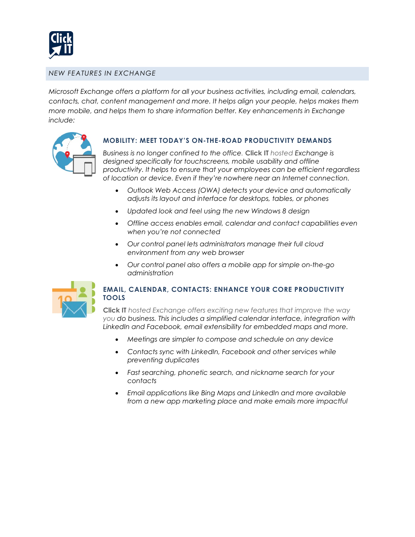

#### *NEW FEATURES IN EXCHANGE*

*Microsoft Exchange offers a platform for all your business activities, including email, calendars, contacts, chat, content management and more. It helps align your people, helps makes them more mobile, and helps them to share information better. Key enhancements in Exchange include:*



#### **MOBILITY: MEET TODAY'S ON-THE-ROAD PRODUCTIVITY DEMANDS**

*Business is no longer confined to the office.* **Click IT** *hosted Exchange is designed specifically for touchscreens, mobile usability and offline productivity. It helps to ensure that your employees can be efficient regardless of location or device. Even if they're nowhere near an Internet connection.*

- *Outlook Web Access (OWA) detects your device and automatically adjusts its layout and interface for desktops, tables, or phones*
- *Updated look and feel using the new Windows 8 design*
- *Offline access enables email, calendar and contact capabilities even when you're not connected*
- *Our control panel lets administrators manage their full cloud environment from any web browser*
- *Our control panel also offers a mobile app for simple on-the-go administration*



## **EMAIL, CALENDAR, CONTACTS: ENHANCE YOUR CORE PRODUCTIVITY TOOLS**

**Click IT** *hosted Exchange offers exciting new features that improve the way you do business. This includes a simplified calendar interface, integration with LinkedIn and Facebook, email extensibility for embedded maps and more.*

- *Meetings are simpler to compose and schedule on any device*
- *Contacts sync with LinkedIn, Facebook and other services while preventing duplicates*
- *Fast searching, phonetic search, and nickname search for your contacts*
- *Email applications like Bing Maps and LinkedIn and more available from a new app marketing place and make emails more impactful*